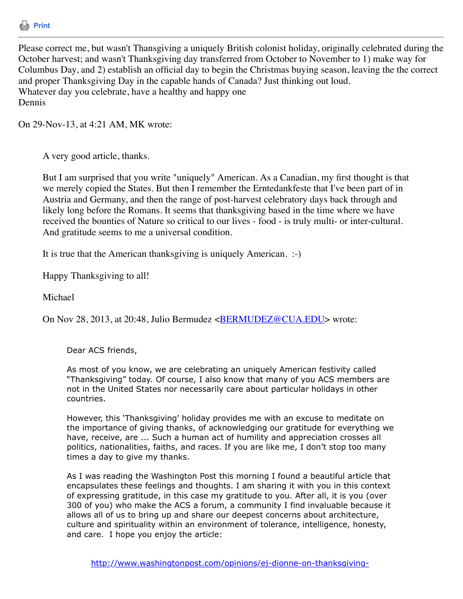

Please correct me, but wasn't Thansgiving a uniquely British colonist holiday, originally celebrated during the October harvest; and wasn't Thanksgiving day transferred from October to November to 1) make way for Columbus Day, and 2) establish an official day to begin the Christmas buying season, leaving the the correct and proper Thanksgiving Day in the capable hands of Canada? Just thinking out loud. Whatever day you celebrate, have a healthy and happy one Dennis

On 29-Nov-13, at 4:21 AM, MK wrote:

A very good article, thanks.

But I am surprised that you write "uniquely" American. As a Canadian, my first thought is that we merely copied the States. But then I remember the Erntedankfeste that I've been part of in Austria and Germany, and then the range of post-harvest celebratory days back through and likely long before the Romans. It seems that thanksgiving based in the time where we have received the bounties of Nature so critical to our lives - food - is truly multi- or inter-cultural. And gratitude seems to me a universal condition.

It is true that the American thanksgiving is uniquely American. :-)

Happy Thanksgiving to all!

Michael

On Nov 28, 2013, at 20:48, Julio Bermudez <**BERMUDEZ@CUA.EDU**> wrote:

Dear ACS friends,

As most of you know, we are celebrating an uniquely American festivity called "Thanksgiving" today. Of course, I also know that many of you ACS members are not in the United States nor necessarily care about particular holidays in other countries.

However, this 'Thanksgiving' holiday provides me with an excuse to meditate on the importance of giving thanks, of acknowledging our gratitude for everything we have, receive, are ... Such a human act of humility and appreciation crosses all politics, nationalities, faiths, and races. If you are like me, I don't stop too many times a day to give my thanks.

As I was reading the Washington Post this morning I found a beautiful article that encapsulates these feelings and thoughts. I am sharing it with you in this context of expressing gratitude, in this case my gratitude to you. After all, it is you (over 300 of you) who make the ACS a forum, a community I find invaluable because it allows all of us to bring up and share our deepest concerns about architecture, culture and spirituality within an environment of tolerance, intelligence, honesty, and care. I hope you enjoy the article: